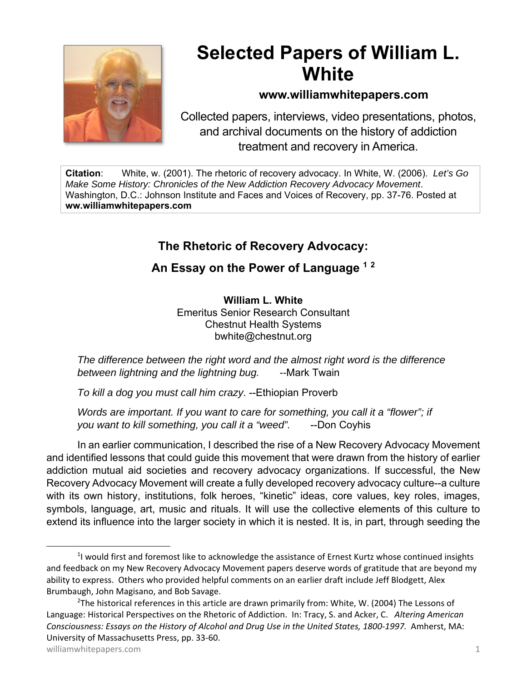

# **Selected Papers of William L. White**

### **www.williamwhitepapers.com**

Collected papers, interviews, video presentations, photos, and archival documents on the history of addiction treatment and recovery in America.

**Citation**: White, w. (2001). The rhetoric of recovery advocacy. In White, W. (2006). *Let's Go Make Some History: Chronicles of the New Addiction Recovery Advocacy Movement*. Washington, D.C.: Johnson Institute and Faces and Voices of Recovery, pp. 37-76. Posted at **ww.williamwhitepapers.com** 

# **The Rhetoric of Recovery Advocacy:**

## **An Essay on the Power of Language 1 <sup>2</sup>**

**William L. White**  Emeritus Senior Research Consultant Chestnut Health Systems bwhite@chestnut.org

*The difference between the right word and the almost right word is the difference between lightning and the lightning bug. --*Mark Twain

*To kill a dog you must call him crazy*. --Ethiopian Proverb

*Words are important. If you want to care for something, you call it a "flower"; if*  you want to kill something, you call it a "weed". --Don Coyhis

In an earlier communication, I described the rise of a New Recovery Advocacy Movement and identified lessons that could guide this movement that were drawn from the history of earlier addiction mutual aid societies and recovery advocacy organizations. If successful, the New Recovery Advocacy Movement will create a fully developed recovery advocacy culture--a culture with its own history, institutions, folk heroes, "kinetic" ideas, core values, key roles, images, symbols, language, art, music and rituals. It will use the collective elements of this culture to extend its influence into the larger society in which it is nested. It is, in part, through seeding the

<sup>&</sup>lt;sup>1</sup>I would first and foremost like to acknowledge the assistance of Ernest Kurtz whose continued insights and feedback on my New Recovery Advocacy Movement papers deserve words of gratitude that are beyond my ability to express. Others who provided helpful comments on an earlier draft include Jeff Blodgett, Alex Brumbaugh, John Magisano, and Bob Savage.

 $2$ The historical references in this article are drawn primarily from: White, W. (2004) The Lessons of Language: Historical Perspectives on the Rhetoric of Addiction. In: Tracy, S. and Acker, C. *Altering American Consciousness: Essays on the History of Alcohol and Drug Use in the United States, 1800‐1997.* Amherst, MA: University of Massachusetts Press, pp. 33‐60.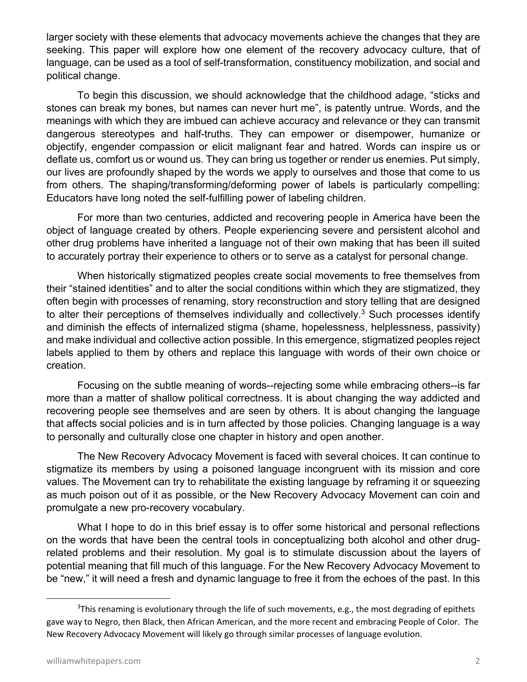larger society with these elements that advocacy movements achieve the changes that they are seeking. This paper will explore how one element of the recovery advocacy culture, that of language, can be used as a tool of self-transformation, constituency mobilization, and social and political change.

To begin this discussion, we should acknowledge that the childhood adage, "sticks and stones can break my bones, but names can never hurt me", is patently untrue. Words, and the meanings with which they are imbued can achieve accuracy and relevance or they can transmit dangerous stereotypes and half-truths. They can empower or disempower, humanize or objectify, engender compassion or elicit malignant fear and hatred. Words can inspire us or deflate us, comfort us or wound us. They can bring us together or render us enemies. Put simply, our lives are profoundly shaped by the words we apply to ourselves and those that come to us from others. The shaping/transforming/deforming power of labels is particularly compelling: Educators have long noted the self-fulfilling power of labeling children.

For more than two centuries, addicted and recovering people in America have been the object of language created by others. People experiencing severe and persistent alcohol and other drug problems have inherited a language not of their own making that has been ill suited to accurately portray their experience to others or to serve as a catalyst for personal change.

When historically stigmatized peoples create social movements to free themselves from their "stained identities" and to alter the social conditions within which they are stigmatized, they often begin with processes of renaming, story reconstruction and story telling that are designed to alter their perceptions of themselves individually and collectively.<sup>3</sup> Such processes identify and diminish the effects of internalized stigma (shame, hopelessness, helplessness, passivity) and make individual and collective action possible. In this emergence, stigmatized peoples reject labels applied to them by others and replace this language with words of their own choice or creation.

Focusing on the subtle meaning of words--rejecting some while embracing others--is far more than a matter of shallow political correctness. It is about changing the way addicted and recovering people see themselves and are seen by others. It is about changing the language that affects social policies and is in turn affected by those policies. Changing language is a way to personally and culturally close one chapter in history and open another.

The New Recovery Advocacy Movement is faced with several choices. It can continue to stigmatize its members by using a poisoned language incongruent with its mission and core values. The Movement can try to rehabilitate the existing language by reframing it or squeezing as much poison out of it as possible, or the New Recovery Advocacy Movement can coin and promulgate a new pro-recovery vocabulary.

What I hope to do in this brief essay is to offer some historical and personal reflections on the words that have been the central tools in conceptualizing both alcohol and other drugrelated problems and their resolution. My goal is to stimulate discussion about the layers of potential meaning that fill much of this language. For the New Recovery Advocacy Movement to be "new," it will need a fresh and dynamic language to free it from the echoes of the past. In this

<sup>&</sup>lt;sup>3</sup>This renaming is evolutionary through the life of such movements, e.g., the most degrading of epithets gave way to Negro, then Black, then African American, and the more recent and embracing People of Color. The New Recovery Advocacy Movement will likely go through similar processes of language evolution.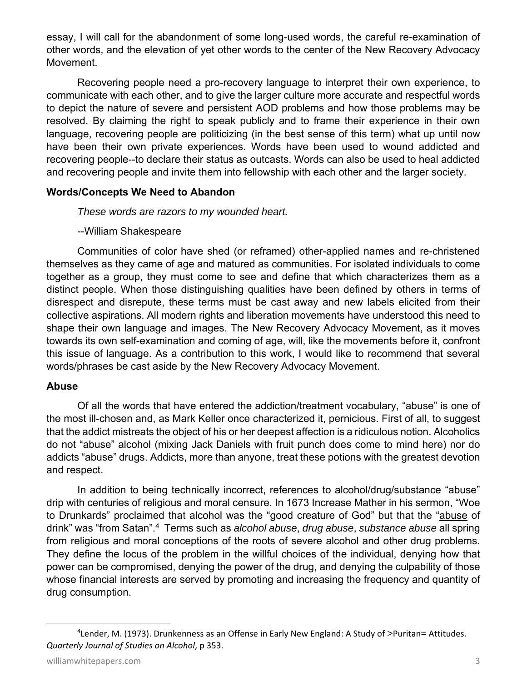essay, I will call for the abandonment of some long-used words, the careful re-examination of other words, and the elevation of yet other words to the center of the New Recovery Advocacy Movement.

Recovering people need a pro-recovery language to interpret their own experience, to communicate with each other, and to give the larger culture more accurate and respectful words to depict the nature of severe and persistent AOD problems and how those problems may be resolved. By claiming the right to speak publicly and to frame their experience in their own language, recovering people are politicizing (in the best sense of this term) what up until now have been their own private experiences. Words have been used to wound addicted and recovering people--to declare their status as outcasts. Words can also be used to heal addicted and recovering people and invite them into fellowship with each other and the larger society.

#### **Words/Concepts We Need to Abandon**

 *These words are razors to my wounded heart.*

#### --William Shakespeare

Communities of color have shed (or reframed) other-applied names and re-christened themselves as they came of age and matured as communities. For isolated individuals to come together as a group, they must come to see and define that which characterizes them as a distinct people. When those distinguishing qualities have been defined by others in terms of disrespect and disrepute, these terms must be cast away and new labels elicited from their collective aspirations. All modern rights and liberation movements have understood this need to shape their own language and images. The New Recovery Advocacy Movement, as it moves towards its own self-examination and coming of age, will, like the movements before it, confront this issue of language. As a contribution to this work, I would like to recommend that several words/phrases be cast aside by the New Recovery Advocacy Movement.

#### **Abuse**

Of all the words that have entered the addiction/treatment vocabulary, "abuse" is one of the most ill-chosen and, as Mark Keller once characterized it, pernicious. First of all, to suggest that the addict mistreats the object of his or her deepest affection is a ridiculous notion. Alcoholics do not "abuse" alcohol (mixing Jack Daniels with fruit punch does come to mind here) nor do addicts "abuse" drugs. Addicts, more than anyone, treat these potions with the greatest devotion and respect.

In addition to being technically incorrect, references to alcohol/drug/substance "abuse" drip with centuries of religious and moral censure. In 1673 Increase Mather in his sermon, "Woe to Drunkards" proclaimed that alcohol was the "good creature of God" but that the "abuse of drink" was "from Satan".4 Terms such as *alcohol abuse*, *drug abuse*, *substance abuse* all spring from religious and moral conceptions of the roots of severe alcohol and other drug problems. They define the locus of the problem in the willful choices of the individual, denying how that power can be compromised, denying the power of the drug, and denying the culpability of those whose financial interests are served by promoting and increasing the frequency and quantity of drug consumption.

<sup>4</sup> Lender, M. (1973). Drunkenness as an Offense in Early New England: A Study of >Puritan= Attitudes. *Quarterly Journal of Studies on Alcohol*, p 353.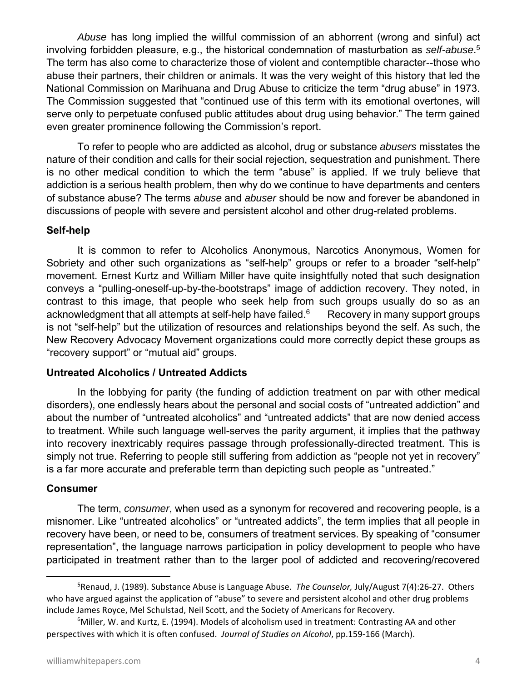*Abuse* has long implied the willful commission of an abhorrent (wrong and sinful) act involving forbidden pleasure, e.g., the historical condemnation of masturbation as *self-abuse*. 5 The term has also come to characterize those of violent and contemptible character--those who abuse their partners, their children or animals. It was the very weight of this history that led the National Commission on Marihuana and Drug Abuse to criticize the term "drug abuse" in 1973. The Commission suggested that "continued use of this term with its emotional overtones, will serve only to perpetuate confused public attitudes about drug using behavior." The term gained even greater prominence following the Commission's report.

To refer to people who are addicted as alcohol, drug or substance *abusers* misstates the nature of their condition and calls for their social rejection, sequestration and punishment. There is no other medical condition to which the term "abuse" is applied. If we truly believe that addiction is a serious health problem, then why do we continue to have departments and centers of substance abuse? The terms *abuse* and *abuser* should be now and forever be abandoned in discussions of people with severe and persistent alcohol and other drug-related problems.

#### **Self-help**

It is common to refer to Alcoholics Anonymous, Narcotics Anonymous, Women for Sobriety and other such organizations as "self-help" groups or refer to a broader "self-help" movement. Ernest Kurtz and William Miller have quite insightfully noted that such designation conveys a "pulling-oneself-up-by-the-bootstraps" image of addiction recovery. They noted, in contrast to this image, that people who seek help from such groups usually do so as an acknowledgment that all attempts at self-help have failed. $6$  Recovery in many support groups is not "self-help" but the utilization of resources and relationships beyond the self. As such, the New Recovery Advocacy Movement organizations could more correctly depict these groups as "recovery support" or "mutual aid" groups.

#### **Untreated Alcoholics / Untreated Addicts**

In the lobbying for parity (the funding of addiction treatment on par with other medical disorders), one endlessly hears about the personal and social costs of "untreated addiction" and about the number of "untreated alcoholics" and "untreated addicts" that are now denied access to treatment. While such language well-serves the parity argument, it implies that the pathway into recovery inextricably requires passage through professionally-directed treatment. This is simply not true. Referring to people still suffering from addiction as "people not yet in recovery" is a far more accurate and preferable term than depicting such people as "untreated."

#### **Consumer**

The term, *consumer*, when used as a synonym for recovered and recovering people, is a misnomer. Like "untreated alcoholics" or "untreated addicts", the term implies that all people in recovery have been, or need to be, consumers of treatment services. By speaking of "consumer representation", the language narrows participation in policy development to people who have participated in treatment rather than to the larger pool of addicted and recovering/recovered

<sup>5</sup> Renaud, J. (1989). Substance Abuse is Language Abuse. *The Counselor,* July/August 7(4):26‐27. Others who have argued against the application of "abuse" to severe and persistent alcohol and other drug problems include James Royce, Mel Schulstad, Neil Scott, and the Society of Americans for Recovery.

<sup>&</sup>lt;sup>6</sup>Miller, W. and Kurtz, E. (1994). Models of alcoholism used in treatment: Contrasting AA and other perspectives with which it is often confused. *Journal of Studies on Alcohol*, pp.159‐166 (March).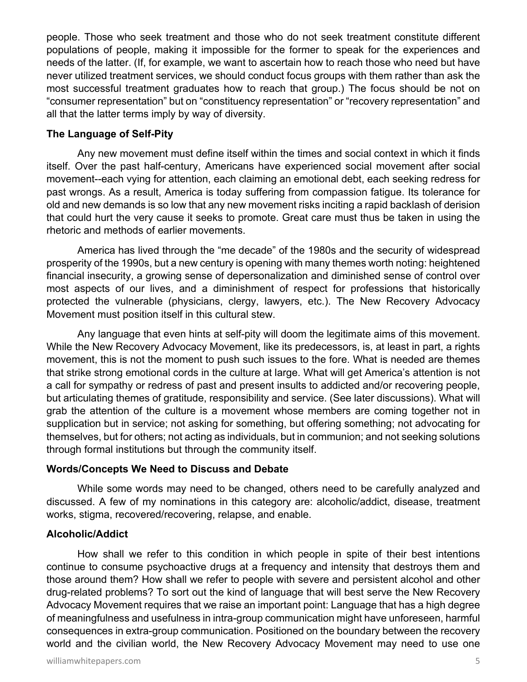people. Those who seek treatment and those who do not seek treatment constitute different populations of people, making it impossible for the former to speak for the experiences and needs of the latter. (If, for example, we want to ascertain how to reach those who need but have never utilized treatment services, we should conduct focus groups with them rather than ask the most successful treatment graduates how to reach that group.) The focus should be not on "consumer representation" but on "constituency representation" or "recovery representation" and all that the latter terms imply by way of diversity.

#### **The Language of Self-Pity**

Any new movement must define itself within the times and social context in which it finds itself. Over the past half-century, Americans have experienced social movement after social movement--each vying for attention, each claiming an emotional debt, each seeking redress for past wrongs. As a result, America is today suffering from compassion fatigue. Its tolerance for old and new demands is so low that any new movement risks inciting a rapid backlash of derision that could hurt the very cause it seeks to promote. Great care must thus be taken in using the rhetoric and methods of earlier movements.

America has lived through the "me decade" of the 1980s and the security of widespread prosperity of the 1990s, but a new century is opening with many themes worth noting: heightened financial insecurity, a growing sense of depersonalization and diminished sense of control over most aspects of our lives, and a diminishment of respect for professions that historically protected the vulnerable (physicians, clergy, lawyers, etc.). The New Recovery Advocacy Movement must position itself in this cultural stew.

Any language that even hints at self-pity will doom the legitimate aims of this movement. While the New Recovery Advocacy Movement, like its predecessors, is, at least in part, a rights movement, this is not the moment to push such issues to the fore. What is needed are themes that strike strong emotional cords in the culture at large. What will get America's attention is not a call for sympathy or redress of past and present insults to addicted and/or recovering people, but articulating themes of gratitude, responsibility and service. (See later discussions). What will grab the attention of the culture is a movement whose members are coming together not in supplication but in service; not asking for something, but offering something; not advocating for themselves, but for others; not acting as individuals, but in communion; and not seeking solutions through formal institutions but through the community itself.

#### **Words/Concepts We Need to Discuss and Debate**

While some words may need to be changed, others need to be carefully analyzed and discussed. A few of my nominations in this category are: alcoholic/addict, disease, treatment works, stigma, recovered/recovering, relapse, and enable.

#### **Alcoholic/Addict**

How shall we refer to this condition in which people in spite of their best intentions continue to consume psychoactive drugs at a frequency and intensity that destroys them and those around them? How shall we refer to people with severe and persistent alcohol and other drug-related problems? To sort out the kind of language that will best serve the New Recovery Advocacy Movement requires that we raise an important point: Language that has a high degree of meaningfulness and usefulness in intra-group communication might have unforeseen, harmful consequences in extra-group communication. Positioned on the boundary between the recovery world and the civilian world, the New Recovery Advocacy Movement may need to use one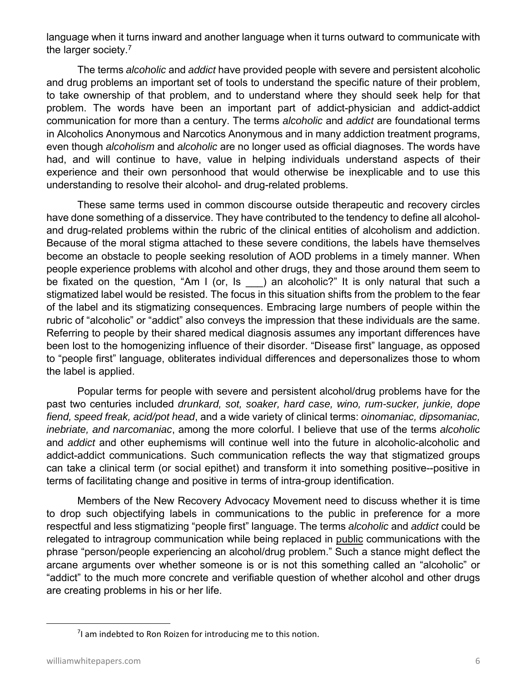language when it turns inward and another language when it turns outward to communicate with the larger society.7

The terms *alcoholic* and *addict* have provided people with severe and persistent alcoholic and drug problems an important set of tools to understand the specific nature of their problem, to take ownership of that problem, and to understand where they should seek help for that problem. The words have been an important part of addict-physician and addict-addict communication for more than a century. The terms *alcoholic* and *addict* are foundational terms in Alcoholics Anonymous and Narcotics Anonymous and in many addiction treatment programs, even though *alcoholism* and *alcoholic* are no longer used as official diagnoses. The words have had, and will continue to have, value in helping individuals understand aspects of their experience and their own personhood that would otherwise be inexplicable and to use this understanding to resolve their alcohol- and drug-related problems.

These same terms used in common discourse outside therapeutic and recovery circles have done something of a disservice. They have contributed to the tendency to define all alcoholand drug-related problems within the rubric of the clinical entities of alcoholism and addiction. Because of the moral stigma attached to these severe conditions, the labels have themselves become an obstacle to people seeking resolution of AOD problems in a timely manner. When people experience problems with alcohol and other drugs, they and those around them seem to be fixated on the question, "Am I (or, Is ) an alcoholic?" It is only natural that such a stigmatized label would be resisted. The focus in this situation shifts from the problem to the fear of the label and its stigmatizing consequences. Embracing large numbers of people within the rubric of "alcoholic" or "addict" also conveys the impression that these individuals are the same. Referring to people by their shared medical diagnosis assumes any important differences have been lost to the homogenizing influence of their disorder. "Disease first" language, as opposed to "people first" language, obliterates individual differences and depersonalizes those to whom the label is applied.

Popular terms for people with severe and persistent alcohol/drug problems have for the past two centuries included *drunkard, sot, soaker, hard case, wino, rum-sucker, junkie, dope fiend, speed freak, acid/pot head*, and a wide variety of clinical terms: *oinomaniac, dipsomaniac, inebriate, and narcomaniac*, among the more colorful. I believe that use of the terms *alcoholic* and *addict* and other euphemisms will continue well into the future in alcoholic-alcoholic and addict-addict communications. Such communication reflects the way that stigmatized groups can take a clinical term (or social epithet) and transform it into something positive--positive in terms of facilitating change and positive in terms of intra-group identification.

Members of the New Recovery Advocacy Movement need to discuss whether it is time to drop such objectifying labels in communications to the public in preference for a more respectful and less stigmatizing "people first" language. The terms *alcoholic* and *addict* could be relegated to intragroup communication while being replaced in public communications with the phrase "person/people experiencing an alcohol/drug problem." Such a stance might deflect the arcane arguments over whether someone is or is not this something called an "alcoholic" or "addict" to the much more concrete and verifiable question of whether alcohol and other drugs are creating problems in his or her life.

 $7$ I am indebted to Ron Roizen for introducing me to this notion.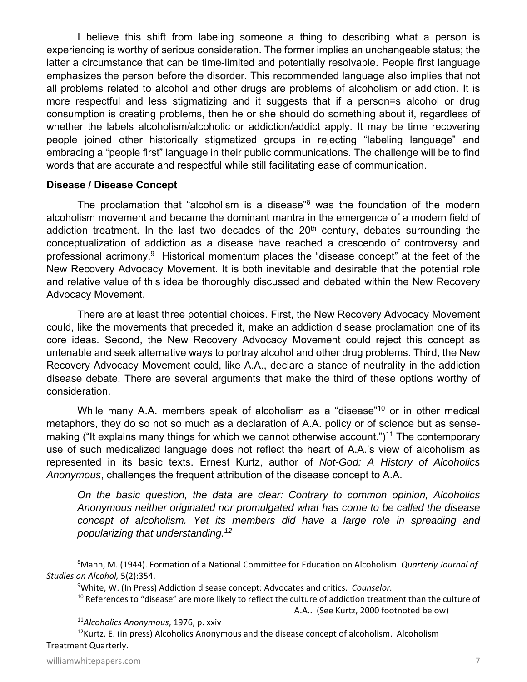I believe this shift from labeling someone a thing to describing what a person is experiencing is worthy of serious consideration. The former implies an unchangeable status; the latter a circumstance that can be time-limited and potentially resolvable. People first language emphasizes the person before the disorder. This recommended language also implies that not all problems related to alcohol and other drugs are problems of alcoholism or addiction. It is more respectful and less stigmatizing and it suggests that if a person=s alcohol or drug consumption is creating problems, then he or she should do something about it, regardless of whether the labels alcoholism/alcoholic or addiction/addict apply. It may be time recovering people joined other historically stigmatized groups in rejecting "labeling language" and embracing a "people first" language in their public communications. The challenge will be to find words that are accurate and respectful while still facilitating ease of communication.

#### **Disease / Disease Concept**

The proclamation that "alcoholism is a disease"<sup>8</sup> was the foundation of the modern alcoholism movement and became the dominant mantra in the emergence of a modern field of addiction treatment. In the last two decades of the  $20<sup>th</sup>$  century, debates surrounding the conceptualization of addiction as a disease have reached a crescendo of controversy and professional acrimony.<sup>9</sup> Historical momentum places the "disease concept" at the feet of the New Recovery Advocacy Movement. It is both inevitable and desirable that the potential role and relative value of this idea be thoroughly discussed and debated within the New Recovery Advocacy Movement.

There are at least three potential choices. First, the New Recovery Advocacy Movement could, like the movements that preceded it, make an addiction disease proclamation one of its core ideas. Second, the New Recovery Advocacy Movement could reject this concept as untenable and seek alternative ways to portray alcohol and other drug problems. Third, the New Recovery Advocacy Movement could, like A.A., declare a stance of neutrality in the addiction disease debate. There are several arguments that make the third of these options worthy of consideration.

While many A.A. members speak of alcoholism as a "disease"<sup>10</sup> or in other medical metaphors, they do so not so much as a declaration of A.A. policy or of science but as sensemaking ("It explains many things for which we cannot otherwise account.")<sup>11</sup> The contemporary use of such medicalized language does not reflect the heart of A.A.'s view of alcoholism as represented in its basic texts. Ernest Kurtz, author of *Not-God: A History of Alcoholics Anonymous*, challenges the frequent attribution of the disease concept to A.A.

*On the basic question, the data are clear: Contrary to common opinion, Alcoholics Anonymous neither originated nor promulgated what has come to be called the disease concept of alcoholism. Yet its members did have a large role in spreading and popularizing that understanding.12*

 $12$ Kurtz, E. (in press) Alcoholics Anonymous and the disease concept of alcoholism. Alcoholism Treatment Quarterly.

<sup>8</sup> Mann, M. (1944). Formation of a National Committee for Education on Alcoholism. *Quarterly Journal of Studies on Alcohol,* 5(2):354.

<sup>9</sup> White, W. (In Press) Addiction disease concept: Advocates and critics. *Counselor.* 

<sup>&</sup>lt;sup>10</sup> References to "disease" are more likely to reflect the culture of addiction treatment than the culture of A.A.. (See Kurtz, 2000 footnoted below)

<sup>11</sup>*Alcoholics Anonymous*, 1976, p. xxiv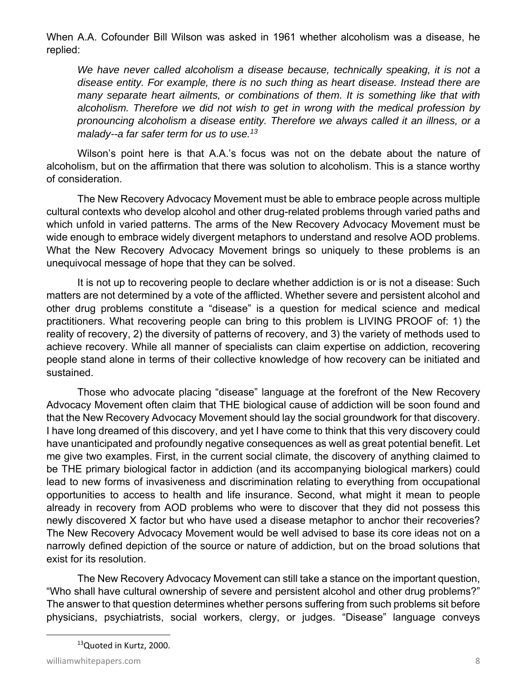When A.A. Cofounder Bill Wilson was asked in 1961 whether alcoholism was a disease, he replied:

We have never called alcoholism a disease because, technically speaking, it is not a *disease entity. For example, there is no such thing as heart disease. Instead there are many separate heart ailments, or combinations of them. It is something like that with alcoholism. Therefore we did not wish to get in wrong with the medical profession by pronouncing alcoholism a disease entity. Therefore we always called it an illness, or a malady--a far safer term for us to use.13*

Wilson's point here is that A.A.'s focus was not on the debate about the nature of alcoholism, but on the affirmation that there was solution to alcoholism. This is a stance worthy of consideration.

The New Recovery Advocacy Movement must be able to embrace people across multiple cultural contexts who develop alcohol and other drug-related problems through varied paths and which unfold in varied patterns. The arms of the New Recovery Advocacy Movement must be wide enough to embrace widely divergent metaphors to understand and resolve AOD problems. What the New Recovery Advocacy Movement brings so uniquely to these problems is an unequivocal message of hope that they can be solved.

It is not up to recovering people to declare whether addiction is or is not a disease: Such matters are not determined by a vote of the afflicted. Whether severe and persistent alcohol and other drug problems constitute a "disease" is a question for medical science and medical practitioners. What recovering people can bring to this problem is LIVING PROOF of: 1) the reality of recovery, 2) the diversity of patterns of recovery, and 3) the variety of methods used to achieve recovery. While all manner of specialists can claim expertise on addiction, recovering people stand alone in terms of their collective knowledge of how recovery can be initiated and sustained.

Those who advocate placing "disease" language at the forefront of the New Recovery Advocacy Movement often claim that THE biological cause of addiction will be soon found and that the New Recovery Advocacy Movement should lay the social groundwork for that discovery. I have long dreamed of this discovery, and yet I have come to think that this very discovery could have unanticipated and profoundly negative consequences as well as great potential benefit. Let me give two examples. First, in the current social climate, the discovery of anything claimed to be THE primary biological factor in addiction (and its accompanying biological markers) could lead to new forms of invasiveness and discrimination relating to everything from occupational opportunities to access to health and life insurance. Second, what might it mean to people already in recovery from AOD problems who were to discover that they did not possess this newly discovered X factor but who have used a disease metaphor to anchor their recoveries? The New Recovery Advocacy Movement would be well advised to base its core ideas not on a narrowly defined depiction of the source or nature of addiction, but on the broad solutions that exist for its resolution.

The New Recovery Advocacy Movement can still take a stance on the important question, "Who shall have cultural ownership of severe and persistent alcohol and other drug problems?" The answer to that question determines whether persons suffering from such problems sit before physicians, psychiatrists, social workers, clergy, or judges. "Disease" language conveys

<sup>&</sup>lt;sup>13</sup>Quoted in Kurtz, 2000.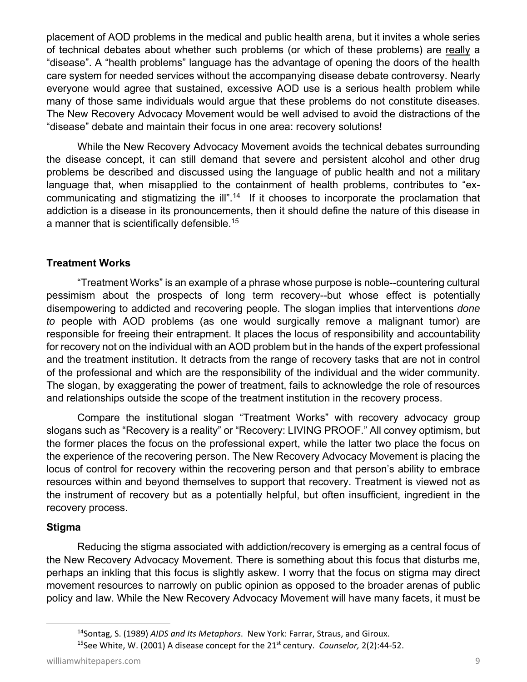placement of AOD problems in the medical and public health arena, but it invites a whole series of technical debates about whether such problems (or which of these problems) are really a "disease". A "health problems" language has the advantage of opening the doors of the health care system for needed services without the accompanying disease debate controversy. Nearly everyone would agree that sustained, excessive AOD use is a serious health problem while many of those same individuals would argue that these problems do not constitute diseases. The New Recovery Advocacy Movement would be well advised to avoid the distractions of the "disease" debate and maintain their focus in one area: recovery solutions!

While the New Recovery Advocacy Movement avoids the technical debates surrounding the disease concept, it can still demand that severe and persistent alcohol and other drug problems be described and discussed using the language of public health and not a military language that, when misapplied to the containment of health problems, contributes to "excommunicating and stigmatizing the ill".<sup>14</sup> If it chooses to incorporate the proclamation that addiction is a disease in its pronouncements, then it should define the nature of this disease in a manner that is scientifically defensible.15

#### **Treatment Works**

"Treatment Works" is an example of a phrase whose purpose is noble--countering cultural pessimism about the prospects of long term recovery--but whose effect is potentially disempowering to addicted and recovering people. The slogan implies that interventions *done to* people with AOD problems (as one would surgically remove a malignant tumor) are responsible for freeing their entrapment. It places the locus of responsibility and accountability for recovery not on the individual with an AOD problem but in the hands of the expert professional and the treatment institution. It detracts from the range of recovery tasks that are not in control of the professional and which are the responsibility of the individual and the wider community. The slogan, by exaggerating the power of treatment, fails to acknowledge the role of resources and relationships outside the scope of the treatment institution in the recovery process.

Compare the institutional slogan "Treatment Works" with recovery advocacy group slogans such as "Recovery is a reality" or "Recovery: LIVING PROOF." All convey optimism, but the former places the focus on the professional expert, while the latter two place the focus on the experience of the recovering person. The New Recovery Advocacy Movement is placing the locus of control for recovery within the recovering person and that person's ability to embrace resources within and beyond themselves to support that recovery. Treatment is viewed not as the instrument of recovery but as a potentially helpful, but often insufficient, ingredient in the recovery process.

#### **Stigma**

Reducing the stigma associated with addiction/recovery is emerging as a central focus of the New Recovery Advocacy Movement. There is something about this focus that disturbs me, perhaps an inkling that this focus is slightly askew. I worry that the focus on stigma may direct movement resources to narrowly on public opinion as opposed to the broader arenas of public policy and law. While the New Recovery Advocacy Movement will have many facets, it must be

<sup>14</sup>Sontag, S. (1989) *AIDS and Its Metaphors*. New York: Farrar, Straus, and Giroux.

<sup>15</sup>See White, W. (2001) A disease concept for the 21st century. *Counselor,* 2(2):44‐52.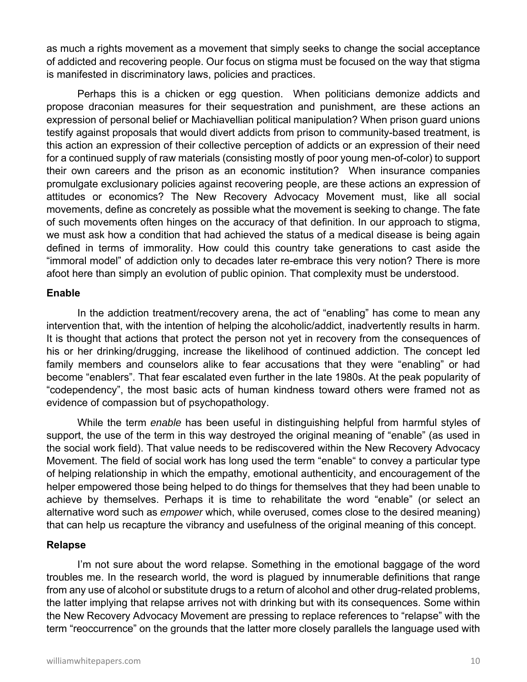as much a rights movement as a movement that simply seeks to change the social acceptance of addicted and recovering people. Our focus on stigma must be focused on the way that stigma is manifested in discriminatory laws, policies and practices.

Perhaps this is a chicken or egg question. When politicians demonize addicts and propose draconian measures for their sequestration and punishment, are these actions an expression of personal belief or Machiavellian political manipulation? When prison guard unions testify against proposals that would divert addicts from prison to community-based treatment, is this action an expression of their collective perception of addicts or an expression of their need for a continued supply of raw materials (consisting mostly of poor young men-of-color) to support their own careers and the prison as an economic institution? When insurance companies promulgate exclusionary policies against recovering people, are these actions an expression of attitudes or economics? The New Recovery Advocacy Movement must, like all social movements, define as concretely as possible what the movement is seeking to change. The fate of such movements often hinges on the accuracy of that definition. In our approach to stigma, we must ask how a condition that had achieved the status of a medical disease is being again defined in terms of immorality. How could this country take generations to cast aside the "immoral model" of addiction only to decades later re-embrace this very notion? There is more afoot here than simply an evolution of public opinion. That complexity must be understood.

#### **Enable**

In the addiction treatment/recovery arena, the act of "enabling" has come to mean any intervention that, with the intention of helping the alcoholic/addict, inadvertently results in harm. It is thought that actions that protect the person not yet in recovery from the consequences of his or her drinking/drugging, increase the likelihood of continued addiction. The concept led family members and counselors alike to fear accusations that they were "enabling" or had become "enablers". That fear escalated even further in the late 1980s. At the peak popularity of "codependency", the most basic acts of human kindness toward others were framed not as evidence of compassion but of psychopathology.

While the term *enable* has been useful in distinguishing helpful from harmful styles of support, the use of the term in this way destroyed the original meaning of "enable" (as used in the social work field). That value needs to be rediscovered within the New Recovery Advocacy Movement. The field of social work has long used the term "enable" to convey a particular type of helping relationship in which the empathy, emotional authenticity, and encouragement of the helper empowered those being helped to do things for themselves that they had been unable to achieve by themselves. Perhaps it is time to rehabilitate the word "enable" (or select an alternative word such as *empower* which, while overused, comes close to the desired meaning) that can help us recapture the vibrancy and usefulness of the original meaning of this concept.

#### **Relapse**

I'm not sure about the word relapse. Something in the emotional baggage of the word troubles me. In the research world, the word is plagued by innumerable definitions that range from any use of alcohol or substitute drugs to a return of alcohol and other drug-related problems, the latter implying that relapse arrives not with drinking but with its consequences. Some within the New Recovery Advocacy Movement are pressing to replace references to "relapse" with the term "reoccurrence" on the grounds that the latter more closely parallels the language used with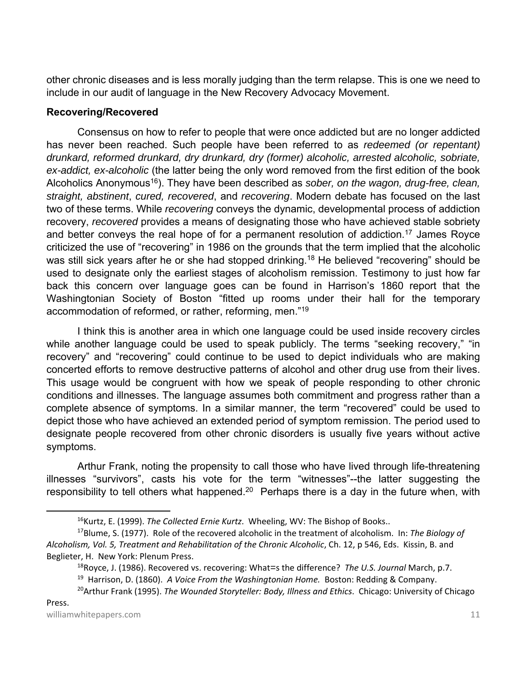other chronic diseases and is less morally judging than the term relapse. This is one we need to include in our audit of language in the New Recovery Advocacy Movement.

#### **Recovering/Recovered**

Consensus on how to refer to people that were once addicted but are no longer addicted has never been reached. Such people have been referred to as *redeemed (or repentant) drunkard, reformed drunkard, dry drunkard, dry (former) alcoholic, arrested alcoholic, sobriate, ex-addict, ex-alcoholic* (the latter being the only word removed from the first edition of the book Alcoholics Anonymous<sup>16</sup>). They have been described as *sober, on the wagon, drug-free, clean, straight, abstinent*, *cured, recovered*, and *recovering*. Modern debate has focused on the last two of these terms. While *recovering* conveys the dynamic, developmental process of addiction recovery, *recovered* provides a means of designating those who have achieved stable sobriety and better conveys the real hope of for a permanent resolution of addiction.<sup>17</sup> James Royce criticized the use of "recovering" in 1986 on the grounds that the term implied that the alcoholic was still sick years after he or she had stopped drinking.<sup>18</sup> He believed "recovering" should be used to designate only the earliest stages of alcoholism remission. Testimony to just how far back this concern over language goes can be found in Harrison's 1860 report that the Washingtonian Society of Boston "fitted up rooms under their hall for the temporary accommodation of reformed, or rather, reforming, men."19

I think this is another area in which one language could be used inside recovery circles while another language could be used to speak publicly. The terms "seeking recovery," "in recovery" and "recovering" could continue to be used to depict individuals who are making concerted efforts to remove destructive patterns of alcohol and other drug use from their lives. This usage would be congruent with how we speak of people responding to other chronic conditions and illnesses. The language assumes both commitment and progress rather than a complete absence of symptoms. In a similar manner, the term "recovered" could be used to depict those who have achieved an extended period of symptom remission. The period used to designate people recovered from other chronic disorders is usually five years without active symptoms.

Arthur Frank, noting the propensity to call those who have lived through life-threatening illnesses "survivors", casts his vote for the term "witnesses"--the latter suggesting the responsibility to tell others what happened.<sup>20</sup> Perhaps there is a day in the future when, with

<sup>&</sup>lt;sup>16</sup>Kurtz, E. (1999). *The Collected Ernie Kurtz*. Wheeling, WV: The Bishop of Books..

<sup>17</sup>Blume, S. (1977). Role of the recovered alcoholic in the treatment of alcoholism. In: *The Biology of Alcoholism, Vol. 5, Treatment and Rehabilitation of the Chronic Alcoholic*, Ch. 12, p 546, Eds. Kissin, B. and Beglieter, H. New York: Plenum Press.

<sup>18</sup>Royce, J. (1986). Recovered vs. recovering: What=s the difference? *The U.S. Journal* March, p.7. 19 Harrison, D. (1860). *A Voice From the Washingtonian Home.* Boston: Redding & Company. 20Arthur Frank (1995). *The Wounded Storyteller: Body, Illness and Ethics*. Chicago: University of Chicago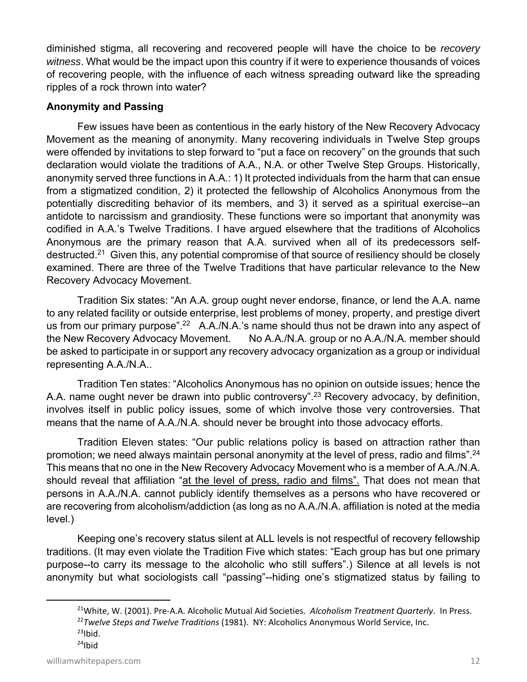diminished stigma, all recovering and recovered people will have the choice to be *recovery witness*. What would be the impact upon this country if it were to experience thousands of voices of recovering people, with the influence of each witness spreading outward like the spreading ripples of a rock thrown into water?

#### **Anonymity and Passing**

Few issues have been as contentious in the early history of the New Recovery Advocacy Movement as the meaning of anonymity. Many recovering individuals in Twelve Step groups were offended by invitations to step forward to "put a face on recovery" on the grounds that such declaration would violate the traditions of A.A., N.A. or other Twelve Step Groups. Historically, anonymity served three functions in A.A.: 1) It protected individuals from the harm that can ensue from a stigmatized condition, 2) it protected the fellowship of Alcoholics Anonymous from the potentially discrediting behavior of its members, and 3) it served as a spiritual exercise--an antidote to narcissism and grandiosity. These functions were so important that anonymity was codified in A.A.'s Twelve Traditions. I have argued elsewhere that the traditions of Alcoholics Anonymous are the primary reason that A.A. survived when all of its predecessors selfdestructed.<sup>21</sup> Given this, any potential compromise of that source of resiliency should be closely examined. There are three of the Twelve Traditions that have particular relevance to the New Recovery Advocacy Movement.

Tradition Six states: "An A.A. group ought never endorse, finance, or lend the A.A. name to any related facility or outside enterprise, lest problems of money, property, and prestige divert us from our primary purpose".<sup>22</sup> A.A./N.A.'s name should thus not be drawn into any aspect of the New Recovery Advocacy Movement. No A.A./N.A. group or no A.A./N.A. member should be asked to participate in or support any recovery advocacy organization as a group or individual representing A.A./N.A..

Tradition Ten states: "Alcoholics Anonymous has no opinion on outside issues; hence the A.A. name ought never be drawn into public controversy".<sup>23</sup> Recovery advocacy, by definition, involves itself in public policy issues, some of which involve those very controversies. That means that the name of A.A./N.A. should never be brought into those advocacy efforts.

Tradition Eleven states: "Our public relations policy is based on attraction rather than promotion; we need always maintain personal anonymity at the level of press, radio and films".<sup>24</sup> This means that no one in the New Recovery Advocacy Movement who is a member of A.A./N.A. should reveal that affiliation "at the level of press, radio and films". That does not mean that persons in A.A./N.A. cannot publicly identify themselves as a persons who have recovered or are recovering from alcoholism/addiction (as long as no A.A./N.A. affiliation is noted at the media level.)

Keeping one's recovery status silent at ALL levels is not respectful of recovery fellowship traditions. (It may even violate the Tradition Five which states: "Each group has but one primary purpose--to carry its message to the alcoholic who still suffers".) Silence at all levels is not anonymity but what sociologists call "passing"--hiding one's stigmatized status by failing to

<sup>21</sup>White, W. (2001). Pre‐A.A. Alcoholic Mutual Aid Societies. *Alcoholism Treatment Quarterly*. In Press. <sup>22</sup>*Twelve Steps and Twelve Traditions* (1981). NY: Alcoholics Anonymous World Service, Inc.  $23$ Ibid.  $24$ Ibid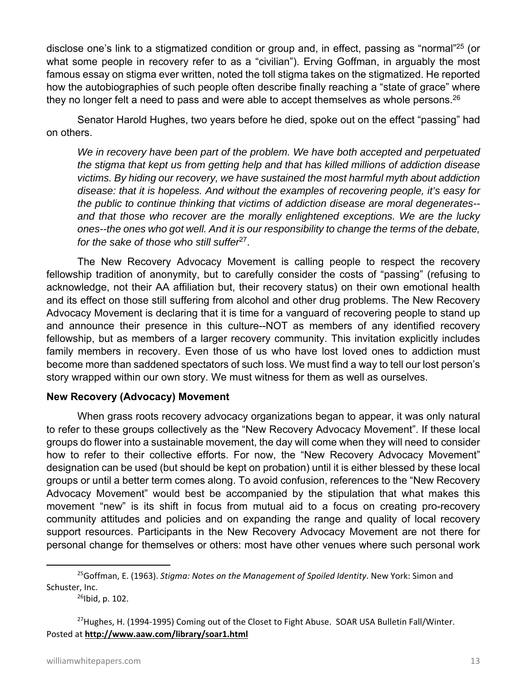disclose one's link to a stigmatized condition or group and, in effect, passing as "normal"25 (or what some people in recovery refer to as a "civilian"). Erving Goffman, in arguably the most famous essay on stigma ever written, noted the toll stigma takes on the stigmatized. He reported how the autobiographies of such people often describe finally reaching a "state of grace" where they no longer felt a need to pass and were able to accept themselves as whole persons. $^{26}$ 

Senator Harold Hughes, two years before he died, spoke out on the effect "passing" had on others.

*We in recovery have been part of the problem. We have both accepted and perpetuated the stigma that kept us from getting help and that has killed millions of addiction disease victims. By hiding our recovery, we have sustained the most harmful myth about addiction disease: that it is hopeless. And without the examples of recovering people, it's easy for the public to continue thinking that victims of addiction disease are moral degenerates- and that those who recover are the morally enlightened exceptions. We are the lucky ones--the ones who got well. And it is our responsibility to change the terms of the debate, for the sake of those who still suffer*27.

The New Recovery Advocacy Movement is calling people to respect the recovery fellowship tradition of anonymity, but to carefully consider the costs of "passing" (refusing to acknowledge, not their AA affiliation but, their recovery status) on their own emotional health and its effect on those still suffering from alcohol and other drug problems. The New Recovery Advocacy Movement is declaring that it is time for a vanguard of recovering people to stand up and announce their presence in this culture--NOT as members of any identified recovery fellowship, but as members of a larger recovery community. This invitation explicitly includes family members in recovery. Even those of us who have lost loved ones to addiction must become more than saddened spectators of such loss. We must find a way to tell our lost person's story wrapped within our own story. We must witness for them as well as ourselves.

#### **New Recovery (Advocacy) Movement**

When grass roots recovery advocacy organizations began to appear, it was only natural to refer to these groups collectively as the "New Recovery Advocacy Movement". If these local groups do flower into a sustainable movement, the day will come when they will need to consider how to refer to their collective efforts. For now, the "New Recovery Advocacy Movement" designation can be used (but should be kept on probation) until it is either blessed by these local groups or until a better term comes along. To avoid confusion, references to the "New Recovery Advocacy Movement" would best be accompanied by the stipulation that what makes this movement "new" is its shift in focus from mutual aid to a focus on creating pro-recovery community attitudes and policies and on expanding the range and quality of local recovery support resources. Participants in the New Recovery Advocacy Movement are not there for personal change for themselves or others: most have other venues where such personal work

<sup>25</sup>Goffman, E. (1963). *Stigma: Notes on the Management of Spoiled Identity*. New York: Simon and Schuster, Inc.

 $26$ Ibid, p. 102.

<sup>&</sup>lt;sup>27</sup>Hughes, H. (1994-1995) Coming out of the Closet to Fight Abuse. SOAR USA Bulletin Fall/Winter. Posted at **http://www.aaw.com/library/soar1.html**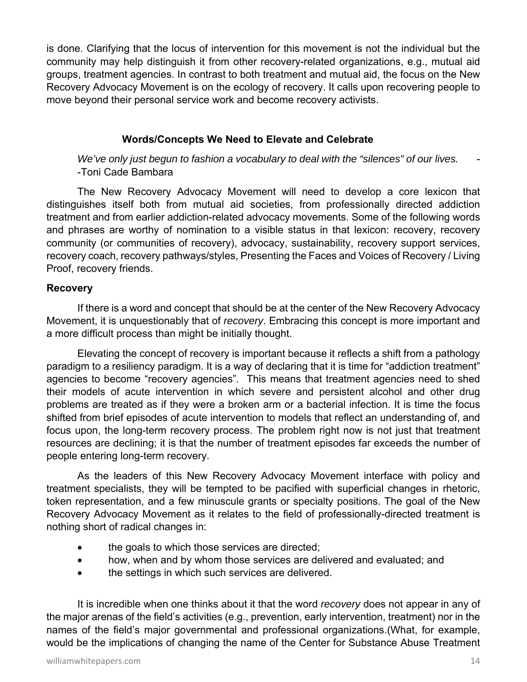is done. Clarifying that the locus of intervention for this movement is not the individual but the community may help distinguish it from other recovery-related organizations, e.g., mutual aid groups, treatment agencies. In contrast to both treatment and mutual aid, the focus on the New Recovery Advocacy Movement is on the ecology of recovery. It calls upon recovering people to move beyond their personal service work and become recovery activists.

#### **Words/Concepts We Need to Elevate and Celebrate**

 *We've only just begun to fashion a vocabulary to deal with the "silences" of our lives.* - -Toni Cade Bambara

The New Recovery Advocacy Movement will need to develop a core lexicon that distinguishes itself both from mutual aid societies, from professionally directed addiction treatment and from earlier addiction-related advocacy movements. Some of the following words and phrases are worthy of nomination to a visible status in that lexicon: recovery, recovery community (or communities of recovery), advocacy, sustainability, recovery support services, recovery coach, recovery pathways/styles, Presenting the Faces and Voices of Recovery / Living Proof, recovery friends.

#### **Recovery**

If there is a word and concept that should be at the center of the New Recovery Advocacy Movement, it is unquestionably that of *recovery*. Embracing this concept is more important and a more difficult process than might be initially thought.

Elevating the concept of recovery is important because it reflects a shift from a pathology paradigm to a resiliency paradigm. It is a way of declaring that it is time for "addiction treatment" agencies to become "recovery agencies". This means that treatment agencies need to shed their models of acute intervention in which severe and persistent alcohol and other drug problems are treated as if they were a broken arm or a bacterial infection. It is time the focus shifted from brief episodes of acute intervention to models that reflect an understanding of, and focus upon, the long-term recovery process. The problem right now is not just that treatment resources are declining; it is that the number of treatment episodes far exceeds the number of people entering long-term recovery.

As the leaders of this New Recovery Advocacy Movement interface with policy and treatment specialists, they will be tempted to be pacified with superficial changes in rhetoric, token representation, and a few minuscule grants or specialty positions. The goal of the New Recovery Advocacy Movement as it relates to the field of professionally-directed treatment is nothing short of radical changes in:

- the goals to which those services are directed;
- how, when and by whom those services are delivered and evaluated; and
- the settings in which such services are delivered.

It is incredible when one thinks about it that the word *recovery* does not appear in any of the major arenas of the field's activities (e.g., prevention, early intervention, treatment) nor in the names of the field's major governmental and professional organizations.(What, for example, would be the implications of changing the name of the Center for Substance Abuse Treatment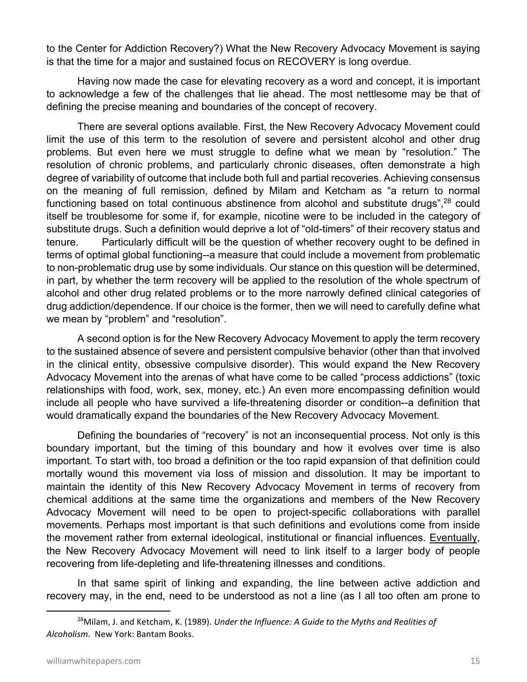to the Center for Addiction Recovery?) What the New Recovery Advocacy Movement is saying is that the time for a major and sustained focus on RECOVERY is long overdue.

Having now made the case for elevating recovery as a word and concept, it is important to acknowledge a few of the challenges that lie ahead. The most nettlesome may be that of defining the precise meaning and boundaries of the concept of recovery.

There are several options available. First, the New Recovery Advocacy Movement could limit the use of this term to the resolution of severe and persistent alcohol and other drug problems. But even here we must struggle to define what we mean by "resolution." The resolution of chronic problems, and particularly chronic diseases, often demonstrate a high degree of variability of outcome that include both full and partial recoveries. Achieving consensus on the meaning of full remission, defined by Milam and Ketcham as "a return to normal functioning based on total continuous abstinence from alcohol and substitute drugs",<sup>28</sup> could itself be troublesome for some if, for example, nicotine were to be included in the category of substitute drugs. Such a definition would deprive a lot of "old-timers" of their recovery status and tenure. Particularly difficult will be the question of whether recovery ought to be defined in terms of optimal global functioning--a measure that could include a movement from problematic to non-problematic drug use by some individuals. Our stance on this question will be determined, in part, by whether the term recovery will be applied to the resolution of the whole spectrum of alcohol and other drug related problems or to the more narrowly defined clinical categories of drug addiction/dependence. If our choice is the former, then we will need to carefully define what we mean by "problem" and "resolution".

A second option is for the New Recovery Advocacy Movement to apply the term recovery to the sustained absence of severe and persistent compulsive behavior (other than that involved in the clinical entity, obsessive compulsive disorder). This would expand the New Recovery Advocacy Movement into the arenas of what have come to be called "process addictions" (toxic relationships with food, work, sex, money, etc.) An even more encompassing definition would include all people who have survived a life-threatening disorder or condition--a definition that would dramatically expand the boundaries of the New Recovery Advocacy Movement.

Defining the boundaries of "recovery" is not an inconsequential process. Not only is this boundary important, but the timing of this boundary and how it evolves over time is also important. To start with, too broad a definition or the too rapid expansion of that definition could mortally wound this movement via loss of mission and dissolution. It may be important to maintain the identity of this New Recovery Advocacy Movement in terms of recovery from chemical additions at the same time the organizations and members of the New Recovery Advocacy Movement will need to be open to project-specific collaborations with parallel movements. Perhaps most important is that such definitions and evolutions come from inside the movement rather from external ideological, institutional or financial influences. Eventually, the New Recovery Advocacy Movement will need to link itself to a larger body of people recovering from life-depleting and life-threatening illnesses and conditions.

In that same spirit of linking and expanding, the line between active addiction and recovery may, in the end, need to be understood as not a line (as I all too often am prone to

<sup>28</sup>Milam, J. and Ketcham, K. (1989). *Under the Influence: A Guide to the Myths and Realities of Alcoholism*. New York: Bantam Books.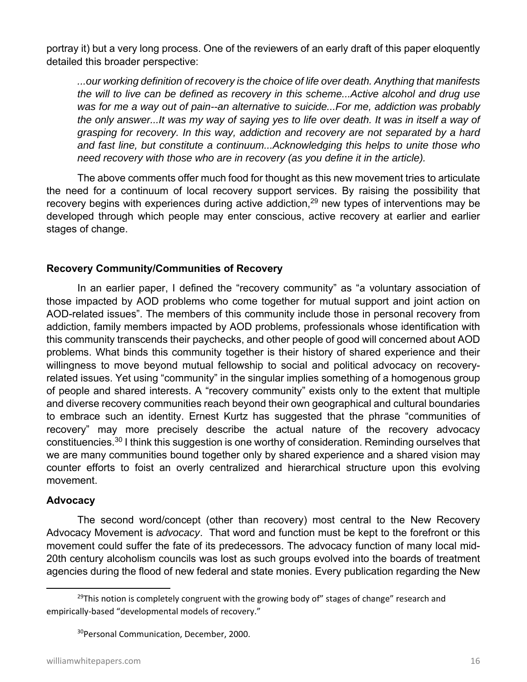portray it) but a very long process. One of the reviewers of an early draft of this paper eloquently detailed this broader perspective:

*...our working definition of recovery is the choice of life over death. Anything that manifests the will to live can be defined as recovery in this scheme...Active alcohol and drug use was for me a way out of pain--an alternative to suicide...For me, addiction was probably the only answer...It was my way of saying yes to life over death. It was in itself a way of grasping for recovery. In this way, addiction and recovery are not separated by a hard and fast line, but constitute a continuum...Acknowledging this helps to unite those who need recovery with those who are in recovery (as you define it in the article).*

The above comments offer much food for thought as this new movement tries to articulate the need for a continuum of local recovery support services. By raising the possibility that recovery begins with experiences during active addiction,<sup>29</sup> new types of interventions may be developed through which people may enter conscious, active recovery at earlier and earlier stages of change.

#### **Recovery Community/Communities of Recovery**

In an earlier paper, I defined the "recovery community" as "a voluntary association of those impacted by AOD problems who come together for mutual support and joint action on AOD-related issues". The members of this community include those in personal recovery from addiction, family members impacted by AOD problems, professionals whose identification with this community transcends their paychecks, and other people of good will concerned about AOD problems. What binds this community together is their history of shared experience and their willingness to move beyond mutual fellowship to social and political advocacy on recoveryrelated issues. Yet using "community" in the singular implies something of a homogenous group of people and shared interests. A "recovery community" exists only to the extent that multiple and diverse recovery communities reach beyond their own geographical and cultural boundaries to embrace such an identity. Ernest Kurtz has suggested that the phrase "communities of recovery" may more precisely describe the actual nature of the recovery advocacy constituencies.30 I think this suggestion is one worthy of consideration. Reminding ourselves that we are many communities bound together only by shared experience and a shared vision may counter efforts to foist an overly centralized and hierarchical structure upon this evolving movement.

#### **Advocacy**

The second word/concept (other than recovery) most central to the New Recovery Advocacy Movement is *advocacy*. That word and function must be kept to the forefront or this movement could suffer the fate of its predecessors. The advocacy function of many local mid-20th century alcoholism councils was lost as such groups evolved into the boards of treatment agencies during the flood of new federal and state monies. Every publication regarding the New

 $29$ This notion is completely congruent with the growing body of" stages of change" research and empirically-based "developmental models of recovery."

<sup>30</sup>Personal Communication, December, 2000.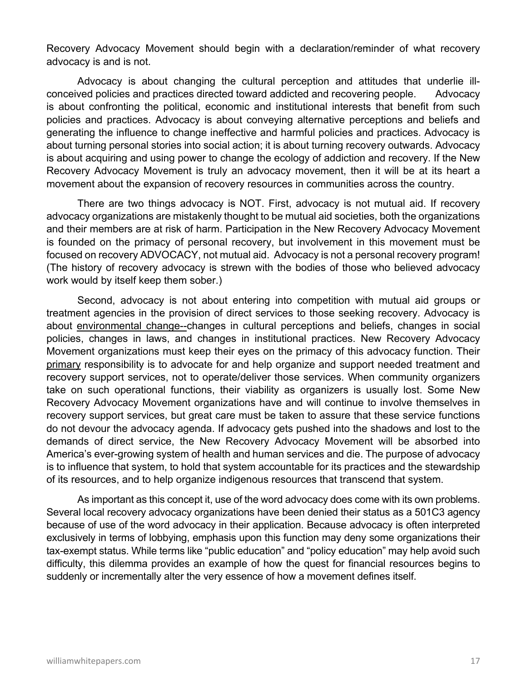Recovery Advocacy Movement should begin with a declaration/reminder of what recovery advocacy is and is not.

Advocacy is about changing the cultural perception and attitudes that underlie illconceived policies and practices directed toward addicted and recovering people. Advocacy is about confronting the political, economic and institutional interests that benefit from such policies and practices. Advocacy is about conveying alternative perceptions and beliefs and generating the influence to change ineffective and harmful policies and practices. Advocacy is about turning personal stories into social action; it is about turning recovery outwards. Advocacy is about acquiring and using power to change the ecology of addiction and recovery. If the New Recovery Advocacy Movement is truly an advocacy movement, then it will be at its heart a movement about the expansion of recovery resources in communities across the country.

There are two things advocacy is NOT. First, advocacy is not mutual aid. If recovery advocacy organizations are mistakenly thought to be mutual aid societies, both the organizations and their members are at risk of harm. Participation in the New Recovery Advocacy Movement is founded on the primacy of personal recovery, but involvement in this movement must be focused on recovery ADVOCACY, not mutual aid. Advocacy is not a personal recovery program! (The history of recovery advocacy is strewn with the bodies of those who believed advocacy work would by itself keep them sober.)

Second, advocacy is not about entering into competition with mutual aid groups or treatment agencies in the provision of direct services to those seeking recovery. Advocacy is about environmental change--changes in cultural perceptions and beliefs, changes in social policies, changes in laws, and changes in institutional practices. New Recovery Advocacy Movement organizations must keep their eyes on the primacy of this advocacy function. Their primary responsibility is to advocate for and help organize and support needed treatment and recovery support services, not to operate/deliver those services. When community organizers take on such operational functions, their viability as organizers is usually lost. Some New Recovery Advocacy Movement organizations have and will continue to involve themselves in recovery support services, but great care must be taken to assure that these service functions do not devour the advocacy agenda. If advocacy gets pushed into the shadows and lost to the demands of direct service, the New Recovery Advocacy Movement will be absorbed into America's ever-growing system of health and human services and die. The purpose of advocacy is to influence that system, to hold that system accountable for its practices and the stewardship of its resources, and to help organize indigenous resources that transcend that system.

As important as this concept it, use of the word advocacy does come with its own problems. Several local recovery advocacy organizations have been denied their status as a 501C3 agency because of use of the word advocacy in their application. Because advocacy is often interpreted exclusively in terms of lobbying, emphasis upon this function may deny some organizations their tax-exempt status. While terms like "public education" and "policy education" may help avoid such difficulty, this dilemma provides an example of how the quest for financial resources begins to suddenly or incrementally alter the very essence of how a movement defines itself.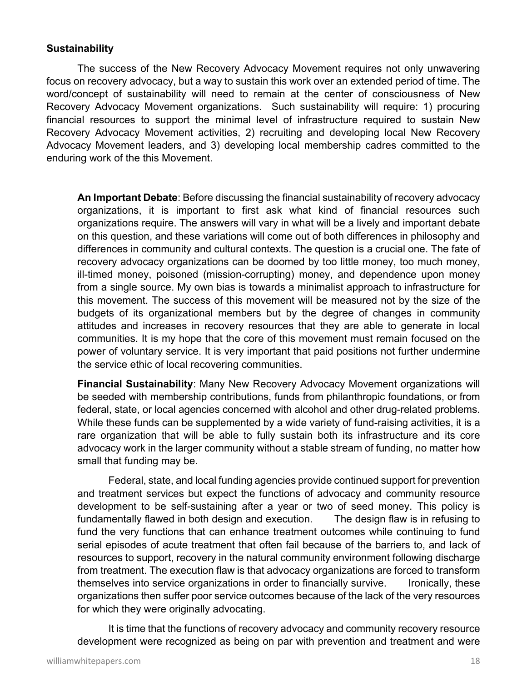#### **Sustainability**

The success of the New Recovery Advocacy Movement requires not only unwavering focus on recovery advocacy, but a way to sustain this work over an extended period of time. The word/concept of sustainability will need to remain at the center of consciousness of New Recovery Advocacy Movement organizations. Such sustainability will require: 1) procuring financial resources to support the minimal level of infrastructure required to sustain New Recovery Advocacy Movement activities, 2) recruiting and developing local New Recovery Advocacy Movement leaders, and 3) developing local membership cadres committed to the enduring work of the this Movement.

 **An Important Debate**: Before discussing the financial sustainability of recovery advocacy organizations, it is important to first ask what kind of financial resources such organizations require. The answers will vary in what will be a lively and important debate on this question, and these variations will come out of both differences in philosophy and differences in community and cultural contexts. The question is a crucial one. The fate of recovery advocacy organizations can be doomed by too little money, too much money, ill-timed money, poisoned (mission-corrupting) money, and dependence upon money from a single source. My own bias is towards a minimalist approach to infrastructure for this movement. The success of this movement will be measured not by the size of the budgets of its organizational members but by the degree of changes in community attitudes and increases in recovery resources that they are able to generate in local communities. It is my hope that the core of this movement must remain focused on the power of voluntary service. It is very important that paid positions not further undermine the service ethic of local recovering communities.

**Financial Sustainability**: Many New Recovery Advocacy Movement organizations will be seeded with membership contributions, funds from philanthropic foundations, or from federal, state, or local agencies concerned with alcohol and other drug-related problems. While these funds can be supplemented by a wide variety of fund-raising activities, it is a rare organization that will be able to fully sustain both its infrastructure and its core advocacy work in the larger community without a stable stream of funding, no matter how small that funding may be.

Federal, state, and local funding agencies provide continued support for prevention and treatment services but expect the functions of advocacy and community resource development to be self-sustaining after a year or two of seed money. This policy is fundamentally flawed in both design and execution. The design flaw is in refusing to fund the very functions that can enhance treatment outcomes while continuing to fund serial episodes of acute treatment that often fail because of the barriers to, and lack of resources to support, recovery in the natural community environment following discharge from treatment. The execution flaw is that advocacy organizations are forced to transform themselves into service organizations in order to financially survive. Ironically, these organizations then suffer poor service outcomes because of the lack of the very resources for which they were originally advocating.

It is time that the functions of recovery advocacy and community recovery resource development were recognized as being on par with prevention and treatment and were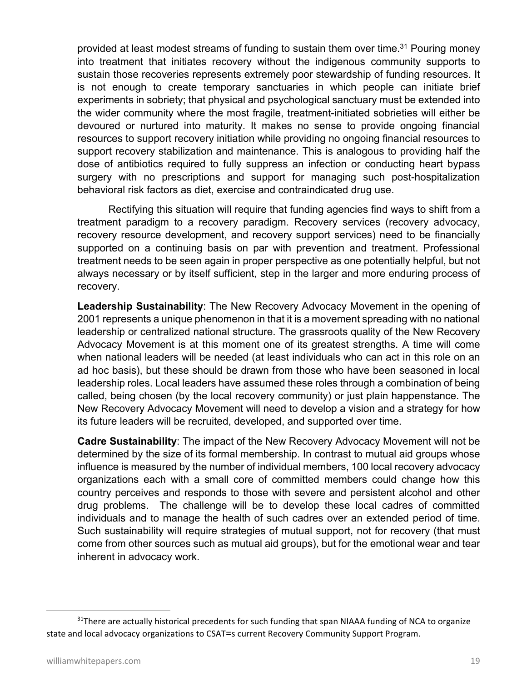provided at least modest streams of funding to sustain them over time.<sup>31</sup> Pouring money into treatment that initiates recovery without the indigenous community supports to sustain those recoveries represents extremely poor stewardship of funding resources. It is not enough to create temporary sanctuaries in which people can initiate brief experiments in sobriety; that physical and psychological sanctuary must be extended into the wider community where the most fragile, treatment-initiated sobrieties will either be devoured or nurtured into maturity. It makes no sense to provide ongoing financial resources to support recovery initiation while providing no ongoing financial resources to support recovery stabilization and maintenance. This is analogous to providing half the dose of antibiotics required to fully suppress an infection or conducting heart bypass surgery with no prescriptions and support for managing such post-hospitalization behavioral risk factors as diet, exercise and contraindicated drug use.

Rectifying this situation will require that funding agencies find ways to shift from a treatment paradigm to a recovery paradigm. Recovery services (recovery advocacy, recovery resource development, and recovery support services) need to be financially supported on a continuing basis on par with prevention and treatment. Professional treatment needs to be seen again in proper perspective as one potentially helpful, but not always necessary or by itself sufficient, step in the larger and more enduring process of recovery.

**Leadership Sustainability**: The New Recovery Advocacy Movement in the opening of 2001 represents a unique phenomenon in that it is a movement spreading with no national leadership or centralized national structure. The grassroots quality of the New Recovery Advocacy Movement is at this moment one of its greatest strengths. A time will come when national leaders will be needed (at least individuals who can act in this role on an ad hoc basis), but these should be drawn from those who have been seasoned in local leadership roles. Local leaders have assumed these roles through a combination of being called, being chosen (by the local recovery community) or just plain happenstance. The New Recovery Advocacy Movement will need to develop a vision and a strategy for how its future leaders will be recruited, developed, and supported over time.

**Cadre Sustainability**: The impact of the New Recovery Advocacy Movement will not be determined by the size of its formal membership. In contrast to mutual aid groups whose influence is measured by the number of individual members, 100 local recovery advocacy organizations each with a small core of committed members could change how this country perceives and responds to those with severe and persistent alcohol and other drug problems. The challenge will be to develop these local cadres of committed individuals and to manage the health of such cadres over an extended period of time. Such sustainability will require strategies of mutual support, not for recovery (that must come from other sources such as mutual aid groups), but for the emotional wear and tear inherent in advocacy work.

 $31$ There are actually historical precedents for such funding that span NIAAA funding of NCA to organize state and local advocacy organizations to CSAT=s current Recovery Community Support Program.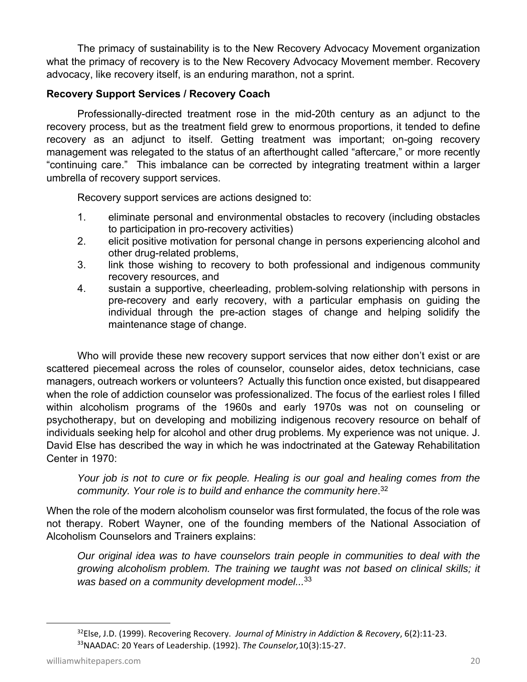The primacy of sustainability is to the New Recovery Advocacy Movement organization what the primacy of recovery is to the New Recovery Advocacy Movement member. Recovery advocacy, like recovery itself, is an enduring marathon, not a sprint.

#### **Recovery Support Services / Recovery Coach**

Professionally-directed treatment rose in the mid-20th century as an adjunct to the recovery process, but as the treatment field grew to enormous proportions, it tended to define recovery as an adjunct to itself. Getting treatment was important; on-going recovery management was relegated to the status of an afterthought called "aftercare," or more recently "continuing care." This imbalance can be corrected by integrating treatment within a larger umbrella of recovery support services.

Recovery support services are actions designed to:

- 1. eliminate personal and environmental obstacles to recovery (including obstacles to participation in pro-recovery activities)
- 2. elicit positive motivation for personal change in persons experiencing alcohol and other drug-related problems,
- 3. link those wishing to recovery to both professional and indigenous community recovery resources, and
- 4. sustain a supportive, cheerleading, problem-solving relationship with persons in pre-recovery and early recovery, with a particular emphasis on guiding the individual through the pre-action stages of change and helping solidify the maintenance stage of change.

Who will provide these new recovery support services that now either don't exist or are scattered piecemeal across the roles of counselor, counselor aides, detox technicians, case managers, outreach workers or volunteers? Actually this function once existed, but disappeared when the role of addiction counselor was professionalized. The focus of the earliest roles I filled within alcoholism programs of the 1960s and early 1970s was not on counseling or psychotherapy, but on developing and mobilizing indigenous recovery resource on behalf of individuals seeking help for alcohol and other drug problems. My experience was not unique. J. David Else has described the way in which he was indoctrinated at the Gateway Rehabilitation Center in 1970:

*Your job is not to cure or fix people. Healing is our goal and healing comes from the community. Your role is to build and enhance the community here*. 32

When the role of the modern alcoholism counselor was first formulated, the focus of the role was not therapy. Robert Wayner, one of the founding members of the National Association of Alcoholism Counselors and Trainers explains:

*Our original idea was to have counselors train people in communities to deal with the growing alcoholism problem. The training we taught was not based on clinical skills; it was based on a community development model...*<sup>33</sup>

<sup>32</sup>Else, J.D. (1999). Recovering Recovery. *Journal of Ministry in Addiction & Recovery*, 6(2):11‐23. 33NAADAC: 20 Years of Leadership. (1992). *The Counselor,*10(3):15‐27.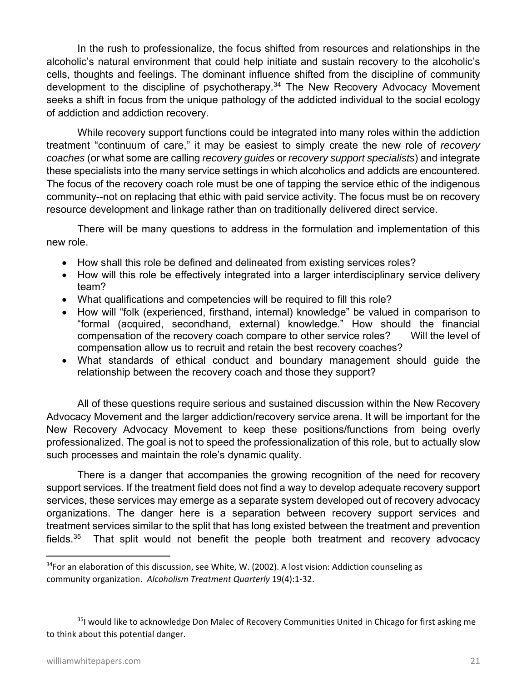In the rush to professionalize, the focus shifted from resources and relationships in the alcoholic's natural environment that could help initiate and sustain recovery to the alcoholic's cells, thoughts and feelings. The dominant influence shifted from the discipline of community development to the discipline of psychotherapy.<sup>34</sup> The New Recovery Advocacy Movement seeks a shift in focus from the unique pathology of the addicted individual to the social ecology of addiction and addiction recovery.

While recovery support functions could be integrated into many roles within the addiction treatment "continuum of care," it may be easiest to simply create the new role of *recovery coaches* (or what some are calling *recovery guides* or *recovery support specialists*) and integrate these specialists into the many service settings in which alcoholics and addicts are encountered. The focus of the recovery coach role must be one of tapping the service ethic of the indigenous community--not on replacing that ethic with paid service activity. The focus must be on recovery resource development and linkage rather than on traditionally delivered direct service.

There will be many questions to address in the formulation and implementation of this new role.

- How shall this role be defined and delineated from existing services roles?
- How will this role be effectively integrated into a larger interdisciplinary service delivery team?
- What qualifications and competencies will be required to fill this role?
- How will "folk (experienced, firsthand, internal) knowledge" be valued in comparison to "formal (acquired, secondhand, external) knowledge." How should the financial compensation of the recovery coach compare to other service roles? Will the level of compensation allow us to recruit and retain the best recovery coaches?
- What standards of ethical conduct and boundary management should guide the relationship between the recovery coach and those they support?

All of these questions require serious and sustained discussion within the New Recovery Advocacy Movement and the larger addiction/recovery service arena. It will be important for the New Recovery Advocacy Movement to keep these positions/functions from being overly professionalized. The goal is not to speed the professionalization of this role, but to actually slow such processes and maintain the role's dynamic quality.

There is a danger that accompanies the growing recognition of the need for recovery support services. If the treatment field does not find a way to develop adequate recovery support services, these services may emerge as a separate system developed out of recovery advocacy organizations. The danger here is a separation between recovery support services and treatment services similar to the split that has long existed between the treatment and prevention fields. $35$  That split would not benefit the people both treatment and recovery advocacy

<sup>35</sup>I would like to acknowledge Don Malec of Recovery Communities United in Chicago for first asking me to think about this potential danger.

 $34$ For an elaboration of this discussion, see White, W. (2002). A lost vision: Addiction counseling as community organization. *Alcoholism Treatment Quarterly* 19(4):1‐32.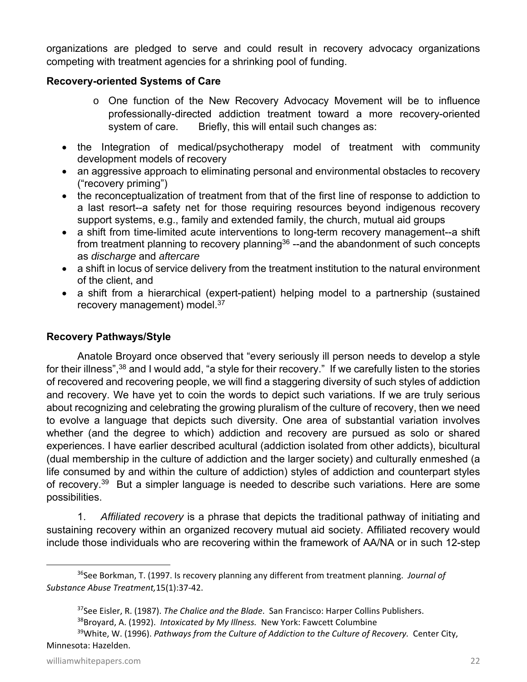organizations are pledged to serve and could result in recovery advocacy organizations competing with treatment agencies for a shrinking pool of funding.

#### **Recovery-oriented Systems of Care**

- o One function of the New Recovery Advocacy Movement will be to influence professionally-directed addiction treatment toward a more recovery-oriented system of care. Briefly, this will entail such changes as:
- the Integration of medical/psychotherapy model of treatment with community development models of recovery
- an aggressive approach to eliminating personal and environmental obstacles to recovery ("recovery priming")
- the reconceptualization of treatment from that of the first line of response to addiction to a last resort--a safety net for those requiring resources beyond indigenous recovery support systems, e.g., family and extended family, the church, mutual aid groups
- a shift from time-limited acute interventions to long-term recovery management--a shift from treatment planning to recovery planning<sup>36</sup> --and the abandonment of such concepts as *discharge* and *aftercare*
- a shift in locus of service delivery from the treatment institution to the natural environment of the client, and
- a shift from a hierarchical (expert-patient) helping model to a partnership (sustained recovery management) model.<sup>37</sup>

#### **Recovery Pathways/Style**

Anatole Broyard once observed that "every seriously ill person needs to develop a style for their illness",<sup>38</sup> and I would add, "a style for their recovery." If we carefully listen to the stories of recovered and recovering people, we will find a staggering diversity of such styles of addiction and recovery. We have yet to coin the words to depict such variations. If we are truly serious about recognizing and celebrating the growing pluralism of the culture of recovery, then we need to evolve a language that depicts such diversity. One area of substantial variation involves whether (and the degree to which) addiction and recovery are pursued as solo or shared experiences. I have earlier described acultural (addiction isolated from other addicts), bicultural (dual membership in the culture of addiction and the larger society) and culturally enmeshed (a life consumed by and within the culture of addiction) styles of addiction and counterpart styles of recovery.<sup>39</sup> But a simpler language is needed to describe such variations. Here are some possibilities.

1. *Affiliated recovery* is a phrase that depicts the traditional pathway of initiating and sustaining recovery within an organized recovery mutual aid society. Affiliated recovery would include those individuals who are recovering within the framework of AA/NA or in such 12-step

<sup>36</sup>See Borkman, T. (1997. Is recovery planning any different from treatment planning. *Journal of Substance Abuse Treatment,*15(1):37‐42.

<sup>37</sup>See Eisler, R. (1987). *The Chalice and the Blade*. San Francisco: Harper Collins Publishers.

<sup>38</sup>Broyard, A. (1992). *Intoxicated by My Illness.* New York: Fawcett Columbine

<sup>39</sup>White, W. (1996). *Pathways from the Culture of Addiction to the Culture of Recovery.* Center City, Minnesota: Hazelden.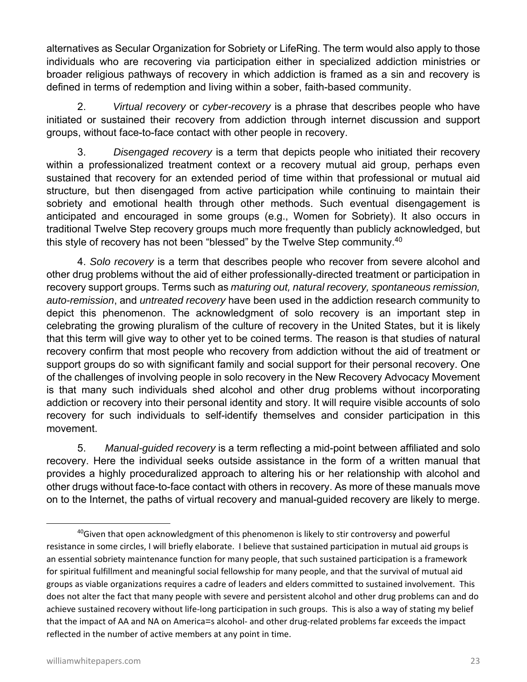alternatives as Secular Organization for Sobriety or LifeRing. The term would also apply to those individuals who are recovering via participation either in specialized addiction ministries or broader religious pathways of recovery in which addiction is framed as a sin and recovery is defined in terms of redemption and living within a sober, faith-based community.

2. *Virtual recovery* or *cyber-recovery* is a phrase that describes people who have initiated or sustained their recovery from addiction through internet discussion and support groups, without face-to-face contact with other people in recovery.

3. *Disengaged recovery* is a term that depicts people who initiated their recovery within a professionalized treatment context or a recovery mutual aid group, perhaps even sustained that recovery for an extended period of time within that professional or mutual aid structure, but then disengaged from active participation while continuing to maintain their sobriety and emotional health through other methods. Such eventual disengagement is anticipated and encouraged in some groups (e.g., Women for Sobriety). It also occurs in traditional Twelve Step recovery groups much more frequently than publicly acknowledged, but this style of recovery has not been "blessed" by the Twelve Step community.<sup>40</sup>

4. *Solo recovery* is a term that describes people who recover from severe alcohol and other drug problems without the aid of either professionally-directed treatment or participation in recovery support groups. Terms such as *maturing out, natural recovery, spontaneous remission, auto-remission*, and *untreated recovery* have been used in the addiction research community to depict this phenomenon. The acknowledgment of solo recovery is an important step in celebrating the growing pluralism of the culture of recovery in the United States, but it is likely that this term will give way to other yet to be coined terms. The reason is that studies of natural recovery confirm that most people who recovery from addiction without the aid of treatment or support groups do so with significant family and social support for their personal recovery. One of the challenges of involving people in solo recovery in the New Recovery Advocacy Movement is that many such individuals shed alcohol and other drug problems without incorporating addiction or recovery into their personal identity and story. It will require visible accounts of solo recovery for such individuals to self-identify themselves and consider participation in this movement.

5. *Manual-guided recovery* is a term reflecting a mid-point between affiliated and solo recovery. Here the individual seeks outside assistance in the form of a written manual that provides a highly proceduralized approach to altering his or her relationship with alcohol and other drugs without face-to-face contact with others in recovery. As more of these manuals move on to the Internet, the paths of virtual recovery and manual-guided recovery are likely to merge.

<sup>&</sup>lt;sup>40</sup>Given that open acknowledgment of this phenomenon is likely to stir controversy and powerful resistance in some circles, I will briefly elaborate. I believe that sustained participation in mutual aid groups is an essential sobriety maintenance function for many people, that such sustained participation is a framework for spiritual fulfillment and meaningful social fellowship for many people, and that the survival of mutual aid groups as viable organizations requires a cadre of leaders and elders committed to sustained involvement. This does not alter the fact that many people with severe and persistent alcohol and other drug problems can and do achieve sustained recovery without life-long participation in such groups. This is also a way of stating my belief that the impact of AA and NA on America=s alcohol‐ and other drug‐related problems far exceeds the impact reflected in the number of active members at any point in time.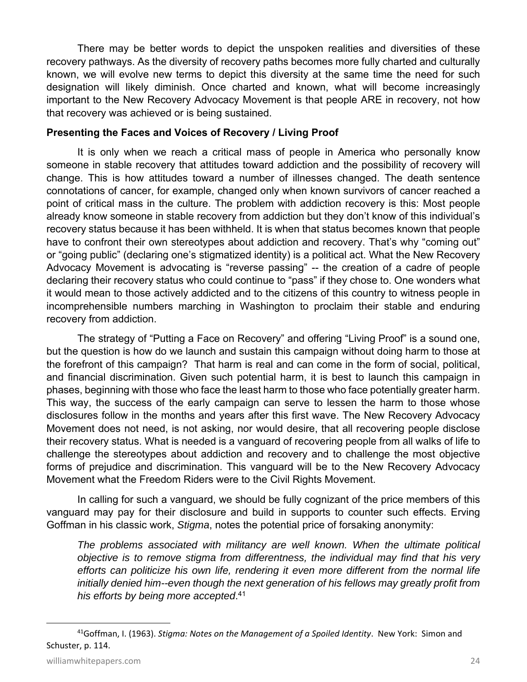There may be better words to depict the unspoken realities and diversities of these recovery pathways. As the diversity of recovery paths becomes more fully charted and culturally known, we will evolve new terms to depict this diversity at the same time the need for such designation will likely diminish. Once charted and known, what will become increasingly important to the New Recovery Advocacy Movement is that people ARE in recovery, not how that recovery was achieved or is being sustained.

#### **Presenting the Faces and Voices of Recovery / Living Proof**

It is only when we reach a critical mass of people in America who personally know someone in stable recovery that attitudes toward addiction and the possibility of recovery will change. This is how attitudes toward a number of illnesses changed. The death sentence connotations of cancer, for example, changed only when known survivors of cancer reached a point of critical mass in the culture. The problem with addiction recovery is this: Most people already know someone in stable recovery from addiction but they don't know of this individual's recovery status because it has been withheld. It is when that status becomes known that people have to confront their own stereotypes about addiction and recovery. That's why "coming out" or "going public" (declaring one's stigmatized identity) is a political act. What the New Recovery Advocacy Movement is advocating is "reverse passing" -- the creation of a cadre of people declaring their recovery status who could continue to "pass" if they chose to. One wonders what it would mean to those actively addicted and to the citizens of this country to witness people in incomprehensible numbers marching in Washington to proclaim their stable and enduring recovery from addiction.

The strategy of "Putting a Face on Recovery" and offering "Living Proof" is a sound one, but the question is how do we launch and sustain this campaign without doing harm to those at the forefront of this campaign? That harm is real and can come in the form of social, political, and financial discrimination. Given such potential harm, it is best to launch this campaign in phases, beginning with those who face the least harm to those who face potentially greater harm. This way, the success of the early campaign can serve to lessen the harm to those whose disclosures follow in the months and years after this first wave. The New Recovery Advocacy Movement does not need, is not asking, nor would desire, that all recovering people disclose their recovery status. What is needed is a vanguard of recovering people from all walks of life to challenge the stereotypes about addiction and recovery and to challenge the most objective forms of prejudice and discrimination. This vanguard will be to the New Recovery Advocacy Movement what the Freedom Riders were to the Civil Rights Movement.

In calling for such a vanguard, we should be fully cognizant of the price members of this vanguard may pay for their disclosure and build in supports to counter such effects. Erving Goffman in his classic work, *Stigma*, notes the potential price of forsaking anonymity:

*The problems associated with militancy are well known. When the ultimate political objective is to remove stigma from differentness, the individual may find that his very efforts can politicize his own life, rendering it even more different from the normal life initially denied him--even though the next generation of his fellows may greatly profit from his efforts by being more accepted*. 41

<sup>41</sup>Goffman, I. (1963). *Stigma: Notes on the Management of a Spoiled Identity*. New York: Simon and Schuster, p. 114.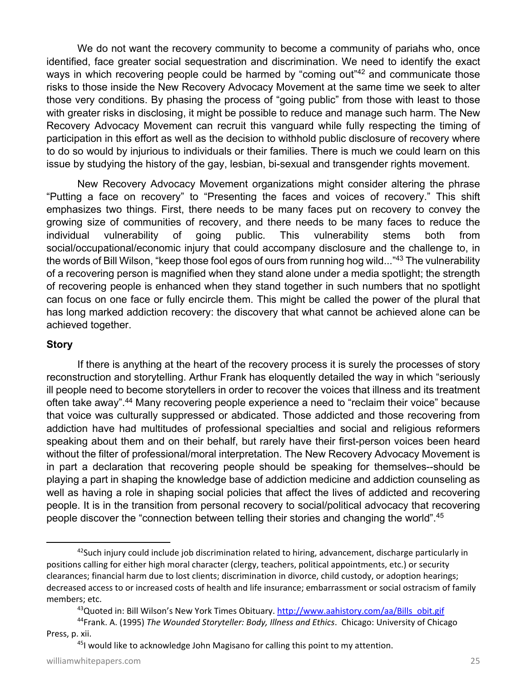We do not want the recovery community to become a community of pariahs who, once identified, face greater social sequestration and discrimination. We need to identify the exact ways in which recovering people could be harmed by "coming out"<sup>42</sup> and communicate those risks to those inside the New Recovery Advocacy Movement at the same time we seek to alter those very conditions. By phasing the process of "going public" from those with least to those with greater risks in disclosing, it might be possible to reduce and manage such harm. The New Recovery Advocacy Movement can recruit this vanguard while fully respecting the timing of participation in this effort as well as the decision to withhold public disclosure of recovery where to do so would by injurious to individuals or their families. There is much we could learn on this issue by studying the history of the gay, lesbian, bi-sexual and transgender rights movement.

New Recovery Advocacy Movement organizations might consider altering the phrase "Putting a face on recovery" to "Presenting the faces and voices of recovery." This shift emphasizes two things. First, there needs to be many faces put on recovery to convey the growing size of communities of recovery, and there needs to be many faces to reduce the individual vulnerability of going public. This vulnerability stems both from social/occupational/economic injury that could accompany disclosure and the challenge to, in the words of Bill Wilson, "keep those fool egos of ours from running hog wild..."43 The vulnerability of a recovering person is magnified when they stand alone under a media spotlight; the strength of recovering people is enhanced when they stand together in such numbers that no spotlight can focus on one face or fully encircle them. This might be called the power of the plural that has long marked addiction recovery: the discovery that what cannot be achieved alone can be achieved together.

#### **Story**

If there is anything at the heart of the recovery process it is surely the processes of story reconstruction and storytelling. Arthur Frank has eloquently detailed the way in which "seriously ill people need to become storytellers in order to recover the voices that illness and its treatment often take away".44 Many recovering people experience a need to "reclaim their voice" because that voice was culturally suppressed or abdicated. Those addicted and those recovering from addiction have had multitudes of professional specialties and social and religious reformers speaking about them and on their behalf, but rarely have their first-person voices been heard without the filter of professional/moral interpretation. The New Recovery Advocacy Movement is in part a declaration that recovering people should be speaking for themselves--should be playing a part in shaping the knowledge base of addiction medicine and addiction counseling as well as having a role in shaping social policies that affect the lives of addicted and recovering people. It is in the transition from personal recovery to social/political advocacy that recovering people discover the "connection between telling their stories and changing the world".45

 $^{42}$ Such injury could include job discrimination related to hiring, advancement, discharge particularly in positions calling for either high moral character (clergy, teachers, political appointments, etc.) or security clearances; financial harm due to lost clients; discrimination in divorce, child custody, or adoption hearings; decreased access to or increased costs of health and life insurance; embarrassment or social ostracism of family members; etc.

<sup>&</sup>lt;sup>43</sup>Quoted in: Bill Wilson's New York Times Obituary. http://www.aahistory.com/aa/Bills\_obit.gif

<sup>44</sup>Frank. A. (1995) *The Wounded Storyteller: Body, Illness and Ethics*. Chicago: University of Chicago Press, p. xii.

<sup>&</sup>lt;sup>45</sup>I would like to acknowledge John Magisano for calling this point to my attention.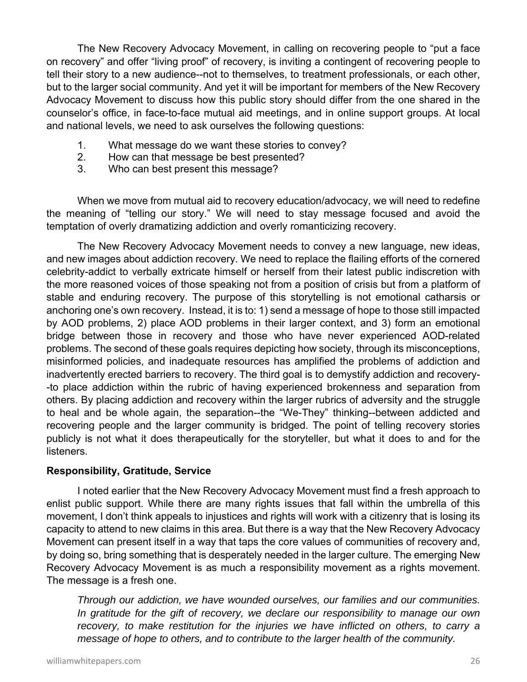The New Recovery Advocacy Movement, in calling on recovering people to "put a face on recovery" and offer "living proof" of recovery, is inviting a contingent of recovering people to tell their story to a new audience--not to themselves, to treatment professionals, or each other, but to the larger social community. And yet it will be important for members of the New Recovery Advocacy Movement to discuss how this public story should differ from the one shared in the counselor's office, in face-to-face mutual aid meetings, and in online support groups. At local and national levels, we need to ask ourselves the following questions:

- 1. What message do we want these stories to convey?
- 2. How can that message be best presented?
- 3. Who can best present this message?

When we move from mutual aid to recovery education/advocacy, we will need to redefine the meaning of "telling our story." We will need to stay message focused and avoid the temptation of overly dramatizing addiction and overly romanticizing recovery.

The New Recovery Advocacy Movement needs to convey a new language, new ideas, and new images about addiction recovery. We need to replace the flailing efforts of the cornered celebrity-addict to verbally extricate himself or herself from their latest public indiscretion with the more reasoned voices of those speaking not from a position of crisis but from a platform of stable and enduring recovery. The purpose of this storytelling is not emotional catharsis or anchoring one's own recovery. Instead, it is to: 1) send a message of hope to those still impacted by AOD problems, 2) place AOD problems in their larger context, and 3) form an emotional bridge between those in recovery and those who have never experienced AOD-related problems. The second of these goals requires depicting how society, through its misconceptions, misinformed policies, and inadequate resources has amplified the problems of addiction and inadvertently erected barriers to recovery. The third goal is to demystify addiction and recovery- -to place addiction within the rubric of having experienced brokenness and separation from others. By placing addiction and recovery within the larger rubrics of adversity and the struggle to heal and be whole again, the separation--the "We-They" thinking--between addicted and recovering people and the larger community is bridged. The point of telling recovery stories publicly is not what it does therapeutically for the storyteller, but what it does to and for the listeners.

#### **Responsibility, Gratitude, Service**

I noted earlier that the New Recovery Advocacy Movement must find a fresh approach to enlist public support. While there are many rights issues that fall within the umbrella of this movement, I don't think appeals to injustices and rights will work with a citizenry that is losing its capacity to attend to new claims in this area. But there is a way that the New Recovery Advocacy Movement can present itself in a way that taps the core values of communities of recovery and, by doing so, bring something that is desperately needed in the larger culture. The emerging New Recovery Advocacy Movement is as much a responsibility movement as a rights movement. The message is a fresh one.

*Through our addiction, we have wounded ourselves, our families and our communities. In gratitude for the gift of recovery, we declare our responsibility to manage our own recovery, to make restitution for the injuries we have inflicted on others, to carry a message of hope to others, and to contribute to the larger health of the community.*